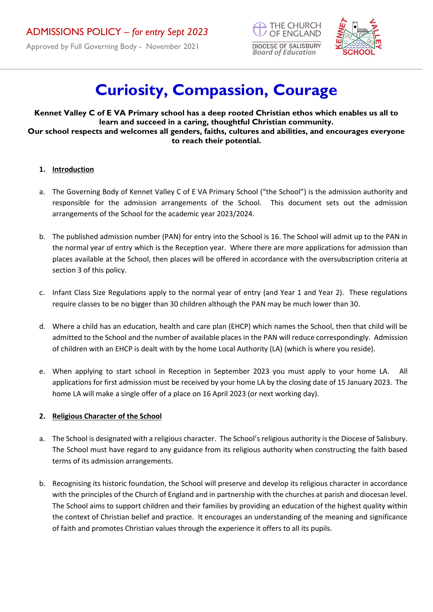Approved by Full Governing Body - November 2021





# **Curiosity, Compassion, Courage**

**Kennet Valley C of E VA Primary school has a deep rooted Christian ethos which enables us all to learn and succeed in a caring, thoughtful Christian community. Our school respects and welcomes all genders, faiths, cultures and abilities, and encourages everyone to reach their potential.** 

#### **1. Introduction**

- a. The Governing Body of Kennet Valley C of E VA Primary School ("the School") is the admission authority and responsible for the admission arrangements of the School. This document sets out the admission arrangements of the School for the academic year 2023/2024.
- b. The published admission number (PAN) for entry into the School is 16. The School will admit up to the PAN in the normal year of entry which is the Reception year. Where there are more applications for admission than places available at the School, then places will be offered in accordance with the oversubscription criteria at section 3 of this policy.
- c. Infant Class Size Regulations apply to the normal year of entry (and Year 1 and Year 2). These regulations require classes to be no bigger than 30 children although the PAN may be much lower than 30.
- d. Where a child has an education, health and care plan (EHCP) which names the School, then that child will be admitted to the School and the number of available places in the PAN will reduce correspondingly. Admission of children with an EHCP is dealt with by the home Local Authority (LA) (which is where you reside).
- e. When applying to start school in Reception in September 2023 you must apply to your home LA. All applications for first admission must be received by your home LA by the closing date of 15 January 2023. The home LA will make a single offer of a place on 16 April 2023 (or next working day).

# **2. Religious Character of the School**

- a. The School is designated with a religious character. The School's religious authority is the Diocese of Salisbury. The School must have regard to any guidance from its religious authority when constructing the faith based terms of its admission arrangements.
- b. Recognising its historic foundation, the School will preserve and develop its religious character in accordance with the principles of the Church of England and in partnership with the churches at parish and diocesan level. The School aims to support children and their families by providing an education of the highest quality within the context of Christian belief and practice. It encourages an understanding of the meaning and significance of faith and promotes Christian values through the experience it offers to all its pupils.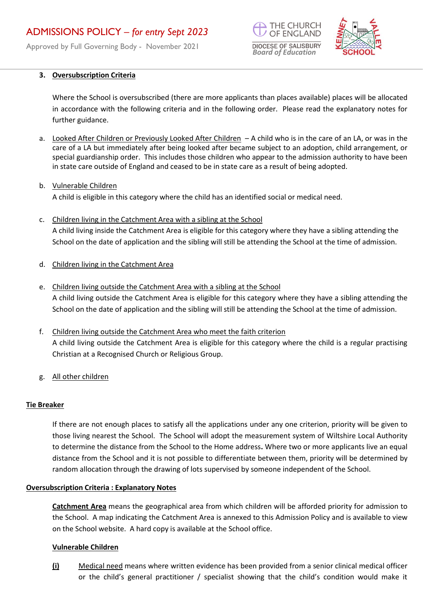Approved by Full Governing Body - November 2021





#### **3. Oversubscription Criteria**

Where the School is oversubscribed (there are more applicants than places available) places will be allocated in accordance with the following criteria and in the following order. Please read the explanatory notes for further guidance.

- a. Looked After Children or Previously Looked After Children A child who is in the care of an LA, or was in the care of a LA but immediately after being looked after became subject to an adoption, child arrangement, or special guardianship order. This includes those children who appear to the admission authority to have been in state care outside of England and ceased to be in state care as a result of being adopted.
- b. Vulnerable Children A child is eligible in this category where the child has an identified social or medical need.
- c. Children living in the Catchment Area with a sibling at the School A child living inside the Catchment Area is eligible for this category where they have a sibling attending the School on the date of application and the sibling will still be attending the School at the time of admission.
- d. Children living in the Catchment Area
- e. Children living outside the Catchment Area with a sibling at the School A child living outside the Catchment Area is eligible for this category where they have a sibling attending the School on the date of application and the sibling will still be attending the School at the time of admission.
- f. Children living outside the Catchment Area who meet the faith criterion A child living outside the Catchment Area is eligible for this category where the child is a regular practising Christian at a Recognised Church or Religious Group.
- g. All other children

#### **Tie Breaker**

If there are not enough places to satisfy all the applications under any one criterion, priority will be given to those living nearest the School. The School will adopt the measurement system of Wiltshire Local Authority to determine the distance from the School to the Home address**.** Where two or more applicants live an equal distance from the School and it is not possible to differentiate between them, priority will be determined by random allocation through the drawing of lots supervised by someone independent of the School.

#### **Oversubscription Criteria : Explanatory Notes**

**Catchment Area** means the geographical area from which children will be afforded priority for admission to the School. A map indicating the Catchment Area is annexed to this Admission Policy and is available to view on the School website. A hard copy is available at the School office.

#### **Vulnerable Children**

**(i)** Medical need means where written evidence has been provided from a senior clinical medical officer or the child's general practitioner / specialist showing that the child's condition would make it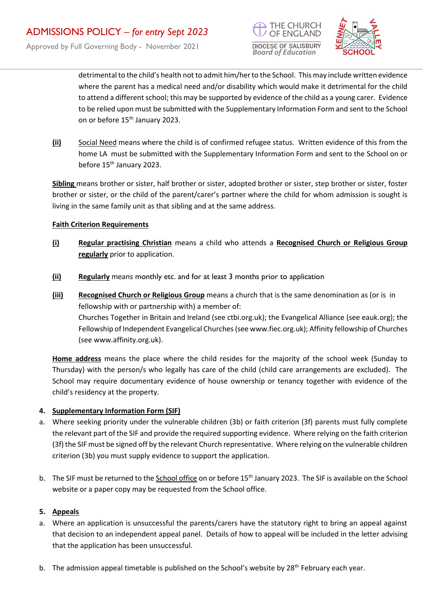



detrimental to the child's health not to admit him/her to the School. This may include written evidence where the parent has a medical need and/or disability which would make it detrimental for the child to attend a different school; this may be supported by evidence of the child as a young carer. Evidence to be relied upon must be submitted with the Supplementary Information Form and sent to the School on or before 15<sup>th</sup> January 2023.

**(ii)** Social Need means where the child is of confirmed refugee status. Written evidence of this from the home LA must be submitted with the Supplementary Information Form and sent to the School on or before 15<sup>th</sup> January 2023.

**Sibling** means brother or sister, half brother or sister, adopted brother or sister, step brother or sister, foster brother or sister, or the child of the parent/carer's partner where the child for whom admission is sought is living in the same family unit as that sibling and at the same address.

# **Faith Criterion Requirements**

- **(i) Regular practising Christian** means a child who attends a **Recognised Church or Religious Group regularly** prior to application.
- **(ii) Regularly** means monthly etc. and for at least 3 months prior to application
- **(iii) Recognised Church or Religious Group** means a church that is the same denomination as (or is in fellowship with or partnership with) a member of: Churches Together in Britain and Ireland (see ctbi.org.uk); the Evangelical Alliance (see eauk.org); the Fellowship of Independent Evangelical Churches(see www.fiec.org.uk); Affinity fellowship of Churches (see www.affinity.org.uk).

**Home address** means the place where the child resides for the majority of the school week (Sunday to Thursday) with the person/s who legally has care of the child (child care arrangements are excluded). The School may require documentary evidence of house ownership or tenancy together with evidence of the child's residency at the property.

# **4. Supplementary Information Form (SIF)**

- a. Where seeking priority under the vulnerable children (3b) or faith criterion (3f) parents must fully complete the relevant part of the SIF and provide the required supporting evidence. Where relying on the faith criterion (3f) the SIF must be signed off by the relevant Church representative. Where relying on the vulnerable children criterion (3b) you must supply evidence to support the application.
- b. The SIF must be returned to the School office on or before 15<sup>th</sup> January 2023. The SIF is available on the School website or a paper copy may be requested from the School office.

# **5. Appeals**

- a. Where an application is unsuccessful the parents/carers have the statutory right to bring an appeal against that decision to an independent appeal panel. Details of how to appeal will be included in the letter advising that the application has been unsuccessful.
- b. The admission appeal timetable is published on the School's website by 28<sup>th</sup> February each year.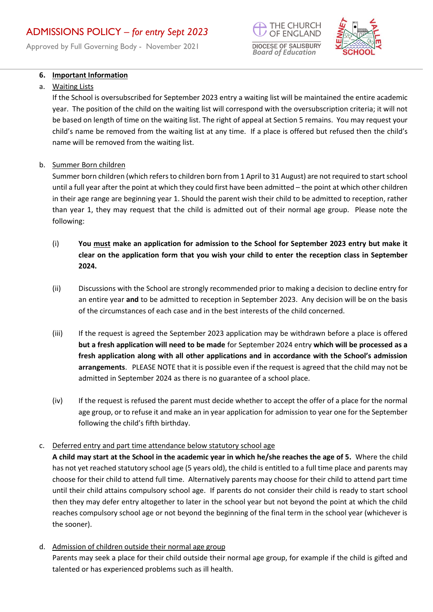Approved by Full Governing Body - November 2021

# HE CHURCH **DIOCESE OF SALISBURY** *Board of Education*



# **6. Important Information**

#### a. Waiting Lists

If the School is oversubscribed for September 2023 entry a waiting list will be maintained the entire academic year. The position of the child on the waiting list will correspond with the oversubscription criteria; it will not be based on length of time on the waiting list. The right of appeal at Section 5 remains. You may request your child's name be removed from the waiting list at any time. If a place is offered but refused then the child's name will be removed from the waiting list.

b. Summer Born children

Summer born children (which refers to children born from 1 April to 31 August) are not required to start school until a full year after the point at which they could first have been admitted – the point at which other children in their age range are beginning year 1. Should the parent wish their child to be admitted to reception, rather than year 1, they may request that the child is admitted out of their normal age group. Please note the following:

- (i) **You must make an application for admission to the School for September 2023 entry but make it clear on the application form that you wish your child to enter the reception class in September 2024.**
- (ii) Discussions with the School are strongly recommended prior to making a decision to decline entry for an entire year **and** to be admitted to reception in September 2023. Any decision will be on the basis of the circumstances of each case and in the best interests of the child concerned.
- (iii) If the request is agreed the September 2023 application may be withdrawn before a place is offered **but a fresh application will need to be made** for September 2024 entry **which will be processed as a fresh application along with all other applications and in accordance with the School's admission arrangements**. PLEASE NOTE that it is possible even if the request is agreed that the child may not be admitted in September 2024 as there is no guarantee of a school place.
- (iv) If the request is refused the parent must decide whether to accept the offer of a place for the normal age group, or to refuse it and make an in year application for admission to year one for the September following the child's fifth birthday.

# c. Deferred entry and part time attendance below statutory school age

**A child may start at the School in the academic year in which he/she reaches the age of 5.** Where the child has not yet reached statutory school age (5 years old), the child is entitled to a full time place and parents may choose for their child to attend full time. Alternatively parents may choose for their child to attend part time until their child attains compulsory school age. If parents do not consider their child is ready to start school then they may defer entry altogether to later in the school year but not beyond the point at which the child reaches compulsory school age or not beyond the beginning of the final term in the school year (whichever is the sooner).

d. Admission of children outside their normal age group

Parents may seek a place for their child outside their normal age group, for example if the child is gifted and talented or has experienced problems such as ill health.